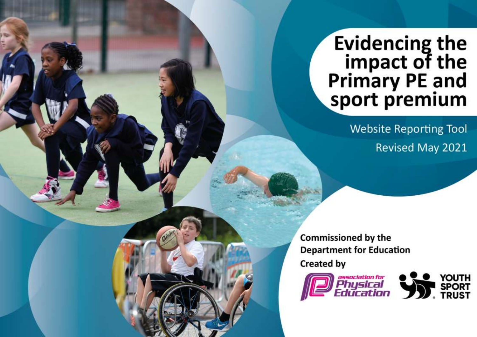## Evidencing the<br>impact of the<br>Primary PE and<br>sport premium

**Website Reporting Tool** Revised May 2021

**Commissioned by the Department for Education Created by** 



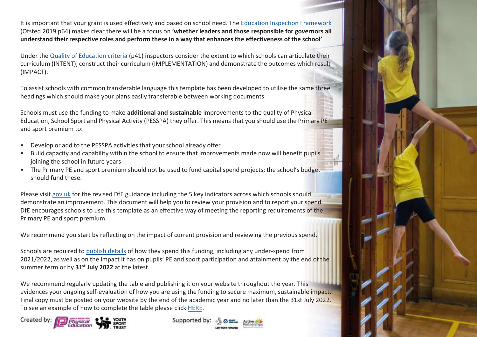It is important that your grant is used effectively and based on school need. The Education Inspection Framework (Ofsted 2019 p64) makes clear there will be a focus on **'whether leaders and those responsible for governors all** understand their respective roles and perform these in a way that enhances the effectiveness of the school'.

Under the Quality of Education criteria (p41) inspectors consider the extent to which schools can articulate their curriculum (INTENT), construct their curriculum (IMPLEMENTATION) and demonstrate the outcomes which result (IMPACT).

To assist schools with common transferable language this template has been developed to utilise the same three headings which should make your plans easily transferable between working documents.

Schools must use the funding to make **additional and sustainable** improvements to the quality of Physical Education, School Sport and Physical Activity (PESSPA) they offer. This means that you should use the Primary PE and sport premium to:

- Develop or add to the PESSPA activities that your school already offer
- Build capacity and capability within the school to ensure that improvements made now will benefit pupils joining the school in future years
- The Primary PE and sport premium should not be used to fund capital spend projects; the school's budget should fund these.

Please visit gov.uk for the revised DfE guidance including the 5 key indicators across which schools should demonstrate an improvement. This document will help you to review your provision and to report your spend. DfE encourages schools to use this template as an effective way of meeting the reporting requirements of the Primary PE and sport premium.

We recommend you start by reflecting on the impact of current provision and reviewing the previous spend.

Schools are required to publish details of how they spend this funding, including any under-spend from 2021/2022, as well as on the impact it has on pupils' PE and sport participation and attainment by the end of the summer term or by **31st July 2022** at the latest.

We recommend regularly updating the table and publishing it on your website throughout the year. This evidences your ongoing self-evaluation of how you are using the funding to secure maximum, sustainable impact. Final copy must be posted on your website by the end of the academic year and no later than the 31st July 2022. To see an example of how to complete the table please click HERE.

Created by:



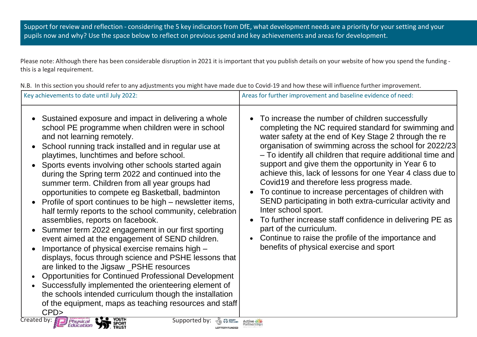Support for review and reflection - considering the 5 key indicators from DfE, what development needs are a priority for your setting and your pupils now and why? Use the space below to reflect on previous spend and key achievements and areas for development.

Please note: Although there has been considerable disruption in 2021 it is important that you publish details on your website of how you spend the funding this is a legal requirement.

N.B. In this section you should refer to any adjustments you might have made due to Covid-19 and how these will influence further improvement.

| Key achievements to date until July 2022:                                                                                                                                                                                                                                                                                                                                                                                                                                                                                                                                                                                                                                                                                                                                                                                                                                                                                                                                                                                                                                                                                                                                                                   | Areas for further improvement and baseline evidence of need:                                                                                                                                                                                                                                                                                                                                                                                                                                                                                                                                                                                                                                                                                                                                  |
|-------------------------------------------------------------------------------------------------------------------------------------------------------------------------------------------------------------------------------------------------------------------------------------------------------------------------------------------------------------------------------------------------------------------------------------------------------------------------------------------------------------------------------------------------------------------------------------------------------------------------------------------------------------------------------------------------------------------------------------------------------------------------------------------------------------------------------------------------------------------------------------------------------------------------------------------------------------------------------------------------------------------------------------------------------------------------------------------------------------------------------------------------------------------------------------------------------------|-----------------------------------------------------------------------------------------------------------------------------------------------------------------------------------------------------------------------------------------------------------------------------------------------------------------------------------------------------------------------------------------------------------------------------------------------------------------------------------------------------------------------------------------------------------------------------------------------------------------------------------------------------------------------------------------------------------------------------------------------------------------------------------------------|
| Sustained exposure and impact in delivering a whole<br>school PE programme when children were in school<br>and not learning remotely.<br>School running track installed and in regular use at<br>playtimes, lunchtimes and before school.<br>Sports events involving other schools started again<br>$\bullet$<br>during the Spring term 2022 and continued into the<br>summer term. Children from all year groups had<br>opportunities to compete eg Basketball, badminton<br>Profile of sport continues to be high – newsletter items,<br>half termly reports to the school community, celebration<br>assemblies, reports on facebook.<br>Summer term 2022 engagement in our first sporting<br>event aimed at the engagement of SEND children.<br>Importance of physical exercise remains high -<br>displays, focus through science and PSHE lessons that<br>are linked to the Jigsaw _PSHE resources<br><b>Opportunities for Continued Professional Development</b><br>Successfully implemented the orienteering element of<br>the schools intended curriculum though the installation<br>of the equipment, maps as teaching resources and staff<br>CPD><br>Supported by: $\frac{\pi}{2}$ $\frac{\pi}{2}$ | To increase the number of children successfully<br>completing the NC required standard for swimming and<br>water safety at the end of Key Stage 2 through the re<br>organisation of swimming across the school for 2022/23<br>- To identify all children that require additional time and<br>support and give them the opportunity in Year 6 to<br>achieve this, lack of lessons for one Year 4 class due to<br>Covid19 and therefore less progress made.<br>To continue to increase percentages of children with<br>SEND participating in both extra-curricular activity and<br>Inter school sport.<br>To further increase staff confidence in delivering PE as<br>part of the curriculum.<br>Continue to raise the profile of the importance and<br>benefits of physical exercise and sport |
| reated by: <b>Physical</b><br>Education<br>YOUTH<br>SPORT<br>Education                                                                                                                                                                                                                                                                                                                                                                                                                                                                                                                                                                                                                                                                                                                                                                                                                                                                                                                                                                                                                                                                                                                                      | Active<br>Partnerships                                                                                                                                                                                                                                                                                                                                                                                                                                                                                                                                                                                                                                                                                                                                                                        |

**LOTTERY FUNDED**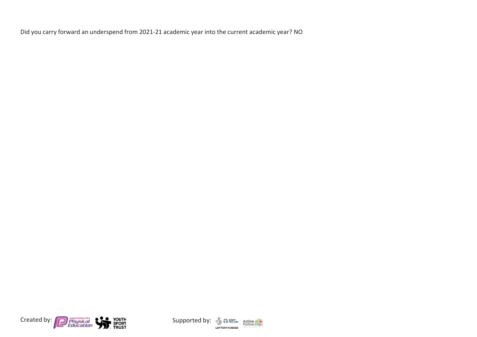Did you carry forward an underspend from 2021-21 academic year into the current academic year? NO



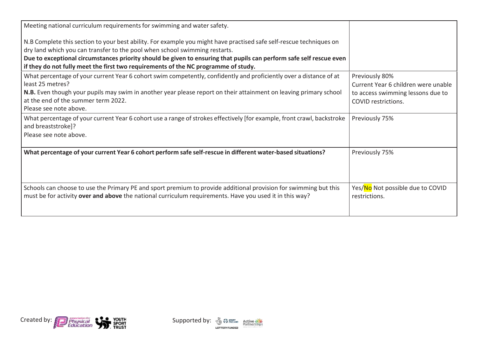| Meeting national curriculum requirements for swimming and water safety.<br>N.B Complete this section to your best ability. For example you might have practised safe self-rescue techniques on<br>dry land which you can transfer to the pool when school swimming restarts.<br>Due to exceptional circumstances priority should be given to ensuring that pupils can perform safe self rescue even |                                                                                                                   |
|-----------------------------------------------------------------------------------------------------------------------------------------------------------------------------------------------------------------------------------------------------------------------------------------------------------------------------------------------------------------------------------------------------|-------------------------------------------------------------------------------------------------------------------|
| if they do not fully meet the first two requirements of the NC programme of study.                                                                                                                                                                                                                                                                                                                  |                                                                                                                   |
| What percentage of your current Year 6 cohort swim competently, confidently and proficiently over a distance of at<br>least 25 metres?<br>N.B. Even though your pupils may swim in another year please report on their attainment on leaving primary school<br>at the end of the summer term 2022.<br>Please see note above.                                                                        | Previously 80%<br>Current Year 6 children were unable<br>to access swimming lessons due to<br>COVID restrictions. |
| What percentage of your current Year 6 cohort use a range of strokes effectively [for example, front crawl, backstroke<br>and breaststroke]?<br>Please see note above.                                                                                                                                                                                                                              | Previously 75%                                                                                                    |
| What percentage of your current Year 6 cohort perform safe self-rescue in different water-based situations?                                                                                                                                                                                                                                                                                         | Previously 75%                                                                                                    |
| Schools can choose to use the Primary PE and sport premium to provide additional provision for swimming but this<br>must be for activity over and above the national curriculum requirements. Have you used it in this way?                                                                                                                                                                         | Yes/No Not possible due to COVID<br>restrictions.                                                                 |



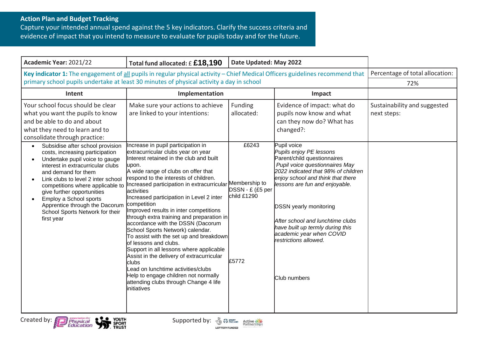## **Action Plan and Budget Tracking**

Capture your intended annual spend against the 5 key indicators. Clarify the success criteria and evidence of impact that you intend to measure to evaluate for pupils today and for the future.

| Academic Year: 2021/22<br>Date Updated: May 2022<br>Total fund allocated: $E$ £18,190                                                                                                                                                                                                                                                                                                                            |                                                                                                                                                                                                                                                                                                                                                                                                                                                                                                                                                                                                                                                                                                                                                                                                              |                                                                    |                                                                                                                                                                                                                                                                                                                                                                                                     |                                             |
|------------------------------------------------------------------------------------------------------------------------------------------------------------------------------------------------------------------------------------------------------------------------------------------------------------------------------------------------------------------------------------------------------------------|--------------------------------------------------------------------------------------------------------------------------------------------------------------------------------------------------------------------------------------------------------------------------------------------------------------------------------------------------------------------------------------------------------------------------------------------------------------------------------------------------------------------------------------------------------------------------------------------------------------------------------------------------------------------------------------------------------------------------------------------------------------------------------------------------------------|--------------------------------------------------------------------|-----------------------------------------------------------------------------------------------------------------------------------------------------------------------------------------------------------------------------------------------------------------------------------------------------------------------------------------------------------------------------------------------------|---------------------------------------------|
| Key indicator 1: The engagement of all pupils in regular physical activity - Chief Medical Officers guidelines recommend that<br>primary school pupils undertake at least 30 minutes of physical activity a day in school                                                                                                                                                                                        |                                                                                                                                                                                                                                                                                                                                                                                                                                                                                                                                                                                                                                                                                                                                                                                                              | Percentage of total allocation:<br>72%                             |                                                                                                                                                                                                                                                                                                                                                                                                     |                                             |
| Intent                                                                                                                                                                                                                                                                                                                                                                                                           | Implementation                                                                                                                                                                                                                                                                                                                                                                                                                                                                                                                                                                                                                                                                                                                                                                                               |                                                                    | Impact                                                                                                                                                                                                                                                                                                                                                                                              |                                             |
| Your school focus should be clear<br>what you want the pupils to know<br>and be able to do and about<br>what they need to learn and to<br>consolidate through practice:                                                                                                                                                                                                                                          | Make sure your actions to achieve<br>are linked to your intentions:                                                                                                                                                                                                                                                                                                                                                                                                                                                                                                                                                                                                                                                                                                                                          | Funding<br>allocated:                                              | Evidence of impact: what do<br>pupils now know and what<br>can they now do? What has<br>changed?:                                                                                                                                                                                                                                                                                                   | Sustainability and suggested<br>next steps: |
| Subsidise after school provision<br>$\bullet$<br>costs, increasing participation<br>Undertake pupil voice to gauge<br>interest in extracurricular clubs<br>and demand for them<br>Link clubs to level 2 inter school<br>competitions where applicable to<br>give further opportunities<br>Employ a School sports<br>$\bullet$<br>Apprentice through the Dacorum<br>School Sports Network for their<br>first year | Increase in pupil participation in<br>extracurricular clubs year on year<br>Interest retained in the club and built<br>upon.<br>A wide range of clubs on offer that<br>respond to the interests of children.<br>ncreased participation in extracurricular<br>activities<br>Increased participation in Level 2 inter<br>competition<br>Improved results in inter competitions<br>through extra training and preparation in<br>accordance with the DSSN (Dacorum<br>School Sports Network) calendar.<br>To assist with the set up and breakdown<br>of lessons and clubs.<br>Support in all lessons where applicable<br>Assist in the delivery of extracurricular<br>clubs<br>ead on lunchtime activities/clubs<br>Help to engage children not normally<br>attending clubs through Change 4 life<br>initiatives | £6243<br>Membership to<br>DSSN - £ (£5 per<br>child £1290<br>£5772 | Pupil voice<br>Pupils enjoy PE lessons<br>Parent/child questionnaires<br>Pupil voice questionnaires May<br>2022 indicated that 98% of children<br>enjoy school and think that there<br>lessons are fun and enjoyable.<br><b>DSSN</b> yearly monitoring<br>After school and lunchtime clubs<br>have built up termly during this<br>academic year when COVID<br>restrictions allowed.<br>Club numbers |                                             |



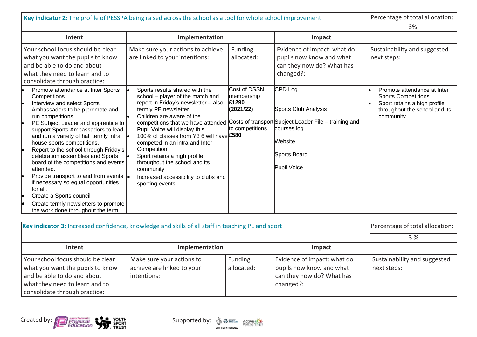| Key indicator 2: The profile of PESSPA being raised across the school as a tool for whole school improvement                                                                                                                                                                                                                                                                                                                                                                                                                                                                                                                                                |                                                                                                                                                                                                                                                                                                                                                                                                                                                                                                                                     |                                                                     |                                                                                                   | Percentage of total allocation:                                                                                                         |
|-------------------------------------------------------------------------------------------------------------------------------------------------------------------------------------------------------------------------------------------------------------------------------------------------------------------------------------------------------------------------------------------------------------------------------------------------------------------------------------------------------------------------------------------------------------------------------------------------------------------------------------------------------------|-------------------------------------------------------------------------------------------------------------------------------------------------------------------------------------------------------------------------------------------------------------------------------------------------------------------------------------------------------------------------------------------------------------------------------------------------------------------------------------------------------------------------------------|---------------------------------------------------------------------|---------------------------------------------------------------------------------------------------|-----------------------------------------------------------------------------------------------------------------------------------------|
|                                                                                                                                                                                                                                                                                                                                                                                                                                                                                                                                                                                                                                                             |                                                                                                                                                                                                                                                                                                                                                                                                                                                                                                                                     |                                                                     |                                                                                                   | 3%                                                                                                                                      |
| Intent                                                                                                                                                                                                                                                                                                                                                                                                                                                                                                                                                                                                                                                      | Implementation                                                                                                                                                                                                                                                                                                                                                                                                                                                                                                                      |                                                                     | Impact                                                                                            |                                                                                                                                         |
| Your school focus should be clear<br>what you want the pupils to know<br>and be able to do and about<br>what they need to learn and to<br>consolidate through practice:                                                                                                                                                                                                                                                                                                                                                                                                                                                                                     | Make sure your actions to achieve<br>are linked to your intentions:                                                                                                                                                                                                                                                                                                                                                                                                                                                                 | <b>Funding</b><br>allocated:                                        | Evidence of impact: what do<br>pupils now know and what<br>can they now do? What has<br>changed?: | Sustainability and suggested<br>next steps:                                                                                             |
| Promote attendance at Inter Sports<br>Competitions<br>Interview and select Sports<br>Ambassadors to help promote and<br>run competitions<br>PE Subject Leader and apprentice to<br>support Sports Ambassadors to lead<br>and run a variety of half termly intra<br>house sports competitions.<br>Report to the school through Friday's<br>celebration assemblies and Sports<br>board of the competitions and events<br>attended.<br>Provide transport to and from events $\vert_{\bullet}$<br>if necessary so equal opportunities<br>for all.<br>Create a Sports council<br>Create termly newsletters to promote<br>le<br>the work done throughout the term | Sports results shared with the<br>school - player of the match and<br>report in Friday's newsletter - also<br>termly PE newsletter.<br>Children are aware of the<br>competitions that we have attended-Costs of transport Subject Leader File - training and<br>Pupil Voice will display this<br>100% of classes from Y3 6 will have £580<br>competed in an intra and Inter<br>Competition<br>Sport retains a high profile<br>throughout the school and its<br>community<br>Increased accessibility to clubs and<br>sporting events | Cost of DSSN<br>membership<br>£1290<br>(2021/22)<br>to competitions | CPD Log<br>Sports Club Analysis<br>courses log<br>Website<br>Sports Board<br>Pupil Voice          | Promote attendance at Inter<br><b>Sports Competitions</b><br>Sport retains a high profile<br>throughout the school and its<br>community |

| Key indicator 3: Increased confidence, knowledge and skills of all staff in teaching PE and sport                                                                       |                                                                        |                       |                                                                                                   | Percentage of total allocation:             |
|-------------------------------------------------------------------------------------------------------------------------------------------------------------------------|------------------------------------------------------------------------|-----------------------|---------------------------------------------------------------------------------------------------|---------------------------------------------|
|                                                                                                                                                                         |                                                                        |                       |                                                                                                   | <b>3</b> %                                  |
| Intent                                                                                                                                                                  | Implementation                                                         |                       | Impact                                                                                            |                                             |
| Your school focus should be clear<br>what you want the pupils to know<br>and be able to do and about<br>what they need to learn and to<br>consolidate through practice: | Make sure your actions to<br>achieve are linked to your<br>intentions: | Funding<br>allocated: | Evidence of impact: what do<br>pupils now know and what<br>can they now do? What has<br>changed?: | Sustainability and suggested<br>next steps: |



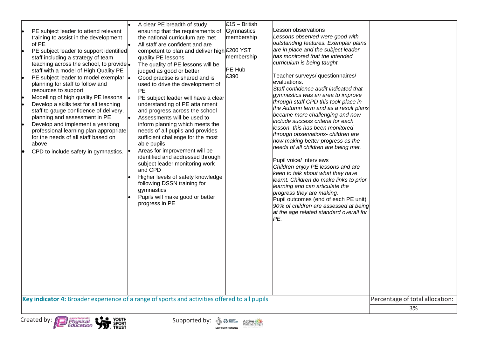|                                                                                               | A clear PE breadth of study                                         | $£15 - British$ |                                                                            |                                 |
|-----------------------------------------------------------------------------------------------|---------------------------------------------------------------------|-----------------|----------------------------------------------------------------------------|---------------------------------|
| PE subject leader to attend relevant                                                          | ensuring that the requirements of                                   | Gymnastics      | esson observations                                                         |                                 |
| training to assist in the development                                                         | the national curriculum are met                                     | membership      | Lessons observed were good with                                            |                                 |
| of PE                                                                                         | All staff are confident and are                                     |                 | outstanding features. Exemplar plans                                       |                                 |
| PE subject leader to support identified                                                       | competent to plan and deliver high £200 YST                         |                 | are in place and the subject leader                                        |                                 |
| staff including a strategy of team                                                            | quality PE lessons                                                  | membership      | has monitored that the intended                                            |                                 |
| teaching across the school, to provide                                                        | The quality of PE lessons will be                                   |                 | curriculum is being taught.                                                |                                 |
| staff with a model of High Quality PE                                                         | judged as good or better                                            | PE Hub          | Teacher surveys/ questionnaires/                                           |                                 |
| PE subject leader to model exemplar                                                           | Good practise is shared and is                                      | £390            | evaluations.                                                               |                                 |
| planning for staff to follow and                                                              | used to drive the development of                                    |                 | Staff confidence audit indicated that                                      |                                 |
| resources to support                                                                          | <b>PE</b>                                                           |                 | gymnastics was an area to improve                                          |                                 |
| Modelling of high quality PE lessons                                                          | PE subject leader will have a clear                                 |                 | through staff CPD this took place in                                       |                                 |
| Develop a skills test for all teaching                                                        | understanding of PE attainment                                      |                 | the Autumn term and as a result plans                                      |                                 |
| staff to gauge confidence of delivery,                                                        | and progress across the school                                      |                 | became more challenging and now                                            |                                 |
| planning and assessment in PE                                                                 | Assessments will be used to                                         |                 | include success criteria for each                                          |                                 |
| Develop and implement a yearlong<br>professional learning plan appropriate                    | inform planning which meets the<br>needs of all pupils and provides |                 | lesson- this has been monitored                                            |                                 |
| for the needs of all staff based on                                                           | sufficient challenge for the most                                   |                 | through observations- children are                                         |                                 |
| above                                                                                         | able pupils                                                         |                 | now making better progress as the                                          |                                 |
| CPD to include safety in gymnastics.                                                          | Areas for improvement will be                                       |                 | needs of all children are being met.                                       |                                 |
|                                                                                               | identified and addressed through                                    |                 |                                                                            |                                 |
|                                                                                               | subject leader monitoring work                                      |                 | Pupil voice/ interviews                                                    |                                 |
|                                                                                               | and CPD                                                             |                 | Children enjoy PE lessons and are                                          |                                 |
|                                                                                               | Higher levels of safety knowledge                                   |                 | keen to talk about what they have                                          |                                 |
|                                                                                               | following DSSN training for                                         |                 | learnt. Children do make links to prior<br>learning and can articulate the |                                 |
|                                                                                               | gymnastics                                                          |                 | progress they are making.                                                  |                                 |
|                                                                                               | Pupils will make good or better                                     |                 | Pupil outcomes (end of each PE unit)                                       |                                 |
|                                                                                               | progress in PE                                                      |                 | 90% of children are assessed at being                                      |                                 |
|                                                                                               |                                                                     |                 | at the age related standard overall for                                    |                                 |
|                                                                                               |                                                                     |                 | PE.                                                                        |                                 |
|                                                                                               |                                                                     |                 |                                                                            |                                 |
|                                                                                               |                                                                     |                 |                                                                            |                                 |
|                                                                                               |                                                                     |                 |                                                                            |                                 |
|                                                                                               |                                                                     |                 |                                                                            |                                 |
|                                                                                               |                                                                     |                 |                                                                            |                                 |
|                                                                                               |                                                                     |                 |                                                                            |                                 |
|                                                                                               |                                                                     |                 |                                                                            |                                 |
|                                                                                               |                                                                     |                 |                                                                            |                                 |
|                                                                                               |                                                                     |                 |                                                                            |                                 |
|                                                                                               |                                                                     |                 |                                                                            |                                 |
| Key indicator 4: Broader experience of a range of sports and activities offered to all pupils |                                                                     |                 |                                                                            | Percentage of total allocation: |
|                                                                                               |                                                                     |                 |                                                                            |                                 |
|                                                                                               |                                                                     |                 |                                                                            | 3%                              |

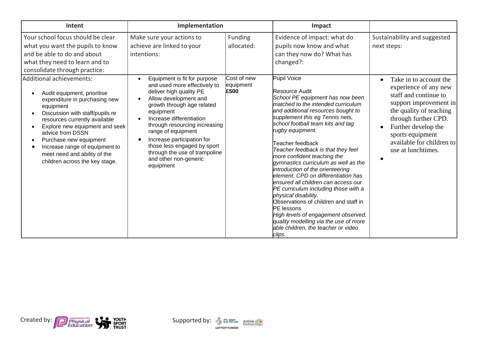| Intent                                                                                                                                                                                                                                                                                                                                                                   | Implementation                                                                                                                                                                                                                                                                                                                                                                            |                                      | Impact                                                                                                                                                                                                                                                                                                                                                                                                                                                                                                                                                                                                                                                                                                                                              |                                                                                                                                                                                                                           |
|--------------------------------------------------------------------------------------------------------------------------------------------------------------------------------------------------------------------------------------------------------------------------------------------------------------------------------------------------------------------------|-------------------------------------------------------------------------------------------------------------------------------------------------------------------------------------------------------------------------------------------------------------------------------------------------------------------------------------------------------------------------------------------|--------------------------------------|-----------------------------------------------------------------------------------------------------------------------------------------------------------------------------------------------------------------------------------------------------------------------------------------------------------------------------------------------------------------------------------------------------------------------------------------------------------------------------------------------------------------------------------------------------------------------------------------------------------------------------------------------------------------------------------------------------------------------------------------------------|---------------------------------------------------------------------------------------------------------------------------------------------------------------------------------------------------------------------------|
| Your school focus should be clear<br>what you want the pupils to know<br>and be able to do and about<br>what they need to learn and to<br>consolidate through practice:<br>Additional achievements:                                                                                                                                                                      | Make sure your actions to<br>achieve are linked to your<br>intentions:<br>Equipment is fit for purpose<br>$\bullet$                                                                                                                                                                                                                                                                       | Funding<br>allocated:<br>Cost of new | Evidence of impact: what do<br>pupils now know and what<br>can they now do? What has<br>changed?:<br>Pupil Voice                                                                                                                                                                                                                                                                                                                                                                                                                                                                                                                                                                                                                                    | Sustainability and suggested<br>next steps:<br>Take in to account the                                                                                                                                                     |
| Audit equipment, prioritise<br>expenditure in purchasing new<br>equipment<br>Discussion with staff/pupils re<br>resources currently available<br>Explore new equipment and seek<br>$\bullet$<br>advice from DSSN<br>Purchase new equipment<br>$\bullet$<br>Increase range of equipment to<br>$\bullet$<br>meet need and ability of the<br>children across the key stage. | and used more effectively to<br>deliver high quality PE<br>Allow development and<br>$\bullet$<br>growth through age related<br>equipment<br>Increase differentiation<br>$\bullet$<br>through resourcing increasing<br>range of equipment<br>Increase participation for<br>$\bullet$<br>those less engaged by sport<br>through the use of trampoline<br>and other non-generic<br>equipment | equipment<br>£500                    | Resource Audit<br>School PE equipment has now been<br>matched to the intended curriculum<br>and additional resources bought to<br>supplement this eg Tennis nets,<br>school football team kits and tag<br>rugby equipment.<br><b>Feacher feedback</b><br>Teacher feedback is that they feel<br>more confident teaching the<br>gymnastics curriculum as well as the<br>introduction of the orienteering<br>element. CPD on differentiation has<br>ensured all children can access our<br>PE curriculum including those with a<br>physical disability.<br>Observations of children and staff in<br><b>PE</b> lessons<br>High levels of engagement observed,<br>quality modelling via the use of more<br>able children, the teacher or video<br>clips. | experience of any new<br>staff and continue to<br>support improvement in<br>the quality of teaching<br>through further CPD.<br>Further develop the<br>sports equipment<br>available for children to<br>use at lunchtimes. |

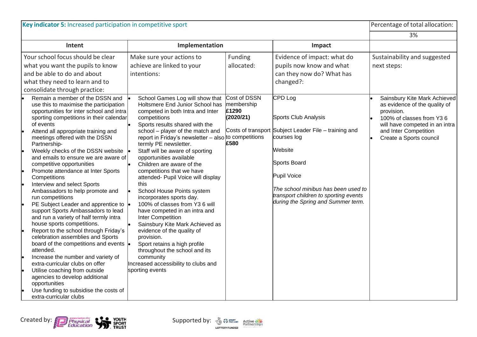| Key indicator 5: Increased participation in competitive sport                                                                                                                                                                                                                                                                                                                                                                                                                                                                                                                                                                                                                                                                                                                                                                                                                                                                                         |                                                                                                                                                                                                                                                                                                                                                                                                                                                                                                                                                                                                                                                                                                                                                                                                   |                                          |                                                                                                                                                                                                                                                              | Percentage of total allocation:                                                                                                                                      |
|-------------------------------------------------------------------------------------------------------------------------------------------------------------------------------------------------------------------------------------------------------------------------------------------------------------------------------------------------------------------------------------------------------------------------------------------------------------------------------------------------------------------------------------------------------------------------------------------------------------------------------------------------------------------------------------------------------------------------------------------------------------------------------------------------------------------------------------------------------------------------------------------------------------------------------------------------------|---------------------------------------------------------------------------------------------------------------------------------------------------------------------------------------------------------------------------------------------------------------------------------------------------------------------------------------------------------------------------------------------------------------------------------------------------------------------------------------------------------------------------------------------------------------------------------------------------------------------------------------------------------------------------------------------------------------------------------------------------------------------------------------------------|------------------------------------------|--------------------------------------------------------------------------------------------------------------------------------------------------------------------------------------------------------------------------------------------------------------|----------------------------------------------------------------------------------------------------------------------------------------------------------------------|
|                                                                                                                                                                                                                                                                                                                                                                                                                                                                                                                                                                                                                                                                                                                                                                                                                                                                                                                                                       |                                                                                                                                                                                                                                                                                                                                                                                                                                                                                                                                                                                                                                                                                                                                                                                                   |                                          |                                                                                                                                                                                                                                                              | 3%                                                                                                                                                                   |
| Intent                                                                                                                                                                                                                                                                                                                                                                                                                                                                                                                                                                                                                                                                                                                                                                                                                                                                                                                                                | Implementation                                                                                                                                                                                                                                                                                                                                                                                                                                                                                                                                                                                                                                                                                                                                                                                    |                                          | Impact                                                                                                                                                                                                                                                       |                                                                                                                                                                      |
| Your school focus should be clear<br>what you want the pupils to know<br>and be able to do and about<br>what they need to learn and to<br>consolidate through practice:<br>Remain a member of the DSSN and                                                                                                                                                                                                                                                                                                                                                                                                                                                                                                                                                                                                                                                                                                                                            | Make sure your actions to<br>achieve are linked to your<br>intentions:<br>School Games Log will show that                                                                                                                                                                                                                                                                                                                                                                                                                                                                                                                                                                                                                                                                                         | Funding<br>allocated:<br>Cost of DSSN    | Evidence of impact: what do<br>pupils now know and what<br>can they now do? What has<br>changed?:<br>CPD Log                                                                                                                                                 | Sustainability and suggested<br>next steps:<br>Sainsbury Kite Mark Achieved                                                                                          |
| use this to maximise the participation<br>opportunities for inter school and intra<br>sporting competitions in their calendar<br>of events<br>Attend all appropriate training and<br>meetings offered with the DSSN<br>Partnership-<br>Weekly checks of the DSSN website  <br>and emails to ensure we are aware of<br>competitive opportunities<br>Promote attendance at Inter Sports<br>Competitions<br>Interview and select Sports<br>Ambassadors to help promote and<br>run competitions<br>PE Subject Leader and apprentice to  <br>support Sports Ambassadors to lead<br>and run a variety of half termly intra<br>house sports competitions.<br>Report to the school through Friday's<br>celebration assemblies and Sports<br>board of the competitions and events  .<br>attended.<br>Increase the number and variety of<br>extra-curricular clubs on offer<br>Utilise coaching from outside<br>agencies to develop additional<br>opportunities | Holtsmere End Junior School has<br>competed in both Intra and Inter<br>competitions<br>Sports results shared with the<br>school - player of the match and<br>report in Friday's newsletter - also to competitions<br>termly PE newsletter.<br>Staff will be aware of sporting<br>opportunities available<br>Children are aware of the<br>competitions that we have<br>attended- Pupil Voice will display<br>this<br>School House Points system<br>incorporates sports day.<br>100% of classes from Y3 6 will<br>have competed in an intra and<br><b>Inter Competition</b><br>Sainsbury Kite Mark Achieved as<br>evidence of the quality of<br>provision.<br>Sport retains a high profile<br>throughout the school and its<br>community<br>Increased accessibility to clubs and<br>sporting events | membership<br>£1290<br>(2020/21)<br>£580 | Sports Club Analysis<br>Costs of transport Subject Leader File - training and<br>courses log<br>Website<br>Sports Board<br>Pupil Voice<br>The school minibus has been used to<br>transport children to sporting events<br>during the Spring and Summer term. | as evidence of the quality of<br>provision.<br>100% of classes from Y3 6<br>will have competed in an intra<br>and Inter Competition<br>Create a Sports council<br>I۰ |
| Use funding to subsidise the costs of<br>extra-curricular clubs                                                                                                                                                                                                                                                                                                                                                                                                                                                                                                                                                                                                                                                                                                                                                                                                                                                                                       |                                                                                                                                                                                                                                                                                                                                                                                                                                                                                                                                                                                                                                                                                                                                                                                                   |                                          |                                                                                                                                                                                                                                                              |                                                                                                                                                                      |